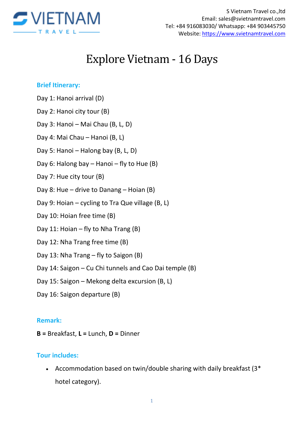

# Explore Vietnam - 16 Days

#### **Brief Itinerary:**

- Day 1: Hanoi arrival (D)
- Day 2: Hanoi city tour (B)
- Day 3: Hanoi Mai Chau (B, L, D)
- Day 4: Mai Chau Hanoi (B, L)
- Day 5: Hanoi Halong bay (B, L, D)
- Day 6: Halong bay Hanoi fly to Hue  $(B)$
- Day 7: Hue city tour (B)
- Day 8: Hue drive to Danang Hoian (B)
- Day 9: Hoian cycling to Tra Que village (B, L)
- Day 10: Hoian free time (B)
- Day 11: Hoian fly to Nha Trang (B)
- Day 12: Nha Trang free time (B)
- Day 13: Nha Trang fly to Saigon (B)
- Day 14: Saigon Cu Chi tunnels and Cao Dai temple (B)
- Day 15: Saigon Mekong delta excursion (B, L)
- Day 16: Saigon departure (B)

#### **Remark:**

**B =** Breakfast, **L =** Lunch, **D =** Dinner

#### **Tour includes:**

 Accommodation based on twin/double sharing with daily breakfast (3\* hotel category).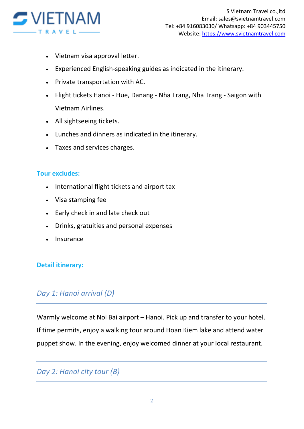

- Vietnam visa approval letter.
- Experienced English-speaking guides as indicated in the itinerary.
- Private transportation with AC.
- Flight tickets Hanoi Hue, Danang Nha Trang, Nha Trang Saigon with Vietnam Airlines.
- All sightseeing tickets.
- Lunches and dinners as indicated in the itinerary.
- Taxes and services charges.

#### **Tour excludes:**

- International flight tickets and airport tax
- Visa stamping fee
- Early check in and late check out
- Drinks, gratuities and personal expenses
- Insurance

#### **Detail itinerary:**

#### *Day 1: Hanoi arrival (D)*

Warmly welcome at Noi Bai airport – Hanoi. Pick up and transfer to your hotel. If time permits, enjoy a walking tour around Hoan Kiem lake and attend water puppet show. In the evening, enjoy welcomed dinner at your local restaurant.

## *Day 2: Hanoi city tour (B)*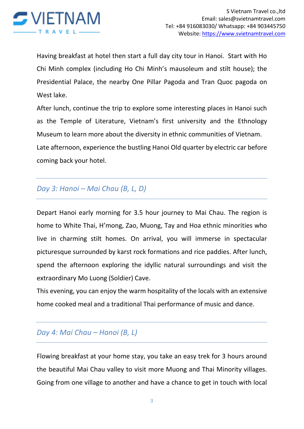

Having breakfast at hotel then start a full day city tour in Hanoi. Start with Ho Chi Minh complex (including Ho Chi Minh's mausoleum and stilt house); the Presidential Palace, the nearby One Pillar Pagoda and Tran Quoc pagoda on West lake.

After lunch, continue the trip to explore some interesting places in Hanoi such as the Temple of Literature, Vietnam's first university and the Ethnology Museum to learn more about the diversity in ethnic communities of Vietnam. Late afternoon, experience the bustling Hanoi Old quarter by electric car before coming back your hotel.

## *Day 3: Hanoi – Mai Chau (B, L, D)*

Depart Hanoi early morning for 3.5 hour journey to Mai Chau. The region is home to White Thai, H'mong, Zao, Muong, Tay and Hoa ethnic minorities who live in charming stilt homes. On arrival, you will immerse in spectacular picturesque surrounded by karst rock formations and rice paddies. After lunch, spend the afternoon exploring the idyllic natural surroundings and visit the extraordinary Mo Luong (Soldier) Cave.

This evening, you can enjoy the warm hospitality of the locals with an extensive home cooked meal and a traditional Thai performance of music and dance.

# *Day 4: Mai Chau – Hanoi (B, L)*

Flowing breakfast at your home stay, you take an easy trek for 3 hours around the beautiful Mai Chau valley to visit more Muong and Thai Minority villages. Going from one village to another and have a chance to get in touch with local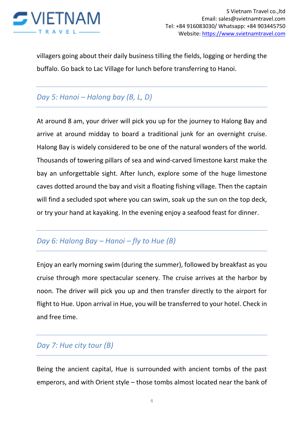

villagers going about their daily business tilling the fields, logging or herding the buffalo. Go back to Lac Village for lunch before transferring to Hanoi.

# *Day 5: Hanoi – Halong bay (B, L, D)*

At around 8 am, your driver will pick you up for the journey to Halong Bay and arrive at around midday to board a traditional junk for an overnight cruise. Halong Bay is widely considered to be one of the natural wonders of the world. Thousands of towering pillars of sea and wind-carved limestone karst make the bay an unforgettable sight. After lunch, explore some of the huge limestone caves dotted around the bay and visit a floating fishing village. Then the captain will find a secluded spot where you can swim, soak up the sun on the top deck, or try your hand at kayaking. In the evening enjoy a seafood feast for dinner.

## *Day 6: Halong Bay – Hanoi – fly to Hue (B)*

Enjoy an early morning swim (during the summer), followed by breakfast as you cruise through more spectacular scenery. The cruise arrives at the harbor by noon. The driver will pick you up and then transfer directly to the airport for flight to Hue. Upon arrival in Hue, you will be transferred to your hotel. Check in and free time.

## *Day 7: Hue city tour (B)*

Being the ancient capital, Hue is surrounded with ancient tombs of the past emperors, and with Orient style – those tombs almost located near the bank of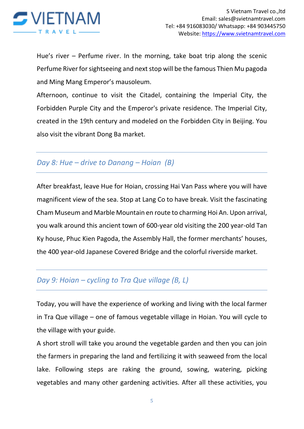

Hue's river – Perfume river. In the morning, take boat trip along the scenic Perfume River for sightseeing and next stop will be the famous Thien Mu pagoda and Ming Mang Emperor's mausoleum.

Afternoon, continue to visit the Citadel, containing the Imperial City, the Forbidden Purple City and the Emperor's private residence. The Imperial City, created in the 19th century and modeled on the Forbidden City in Beijing. You also visit the vibrant Dong Ba market.

#### *Day 8: Hue – drive to Danang – Hoian (B)*

After breakfast, leave Hue for Hoian, crossing Hai Van Pass where you will have magnificent view of the sea. Stop at Lang Co to have break. Visit the fascinating Cham Museum and Marble Mountain en route to charming Hoi An. Upon arrival, you walk around this ancient town of 600-year old visiting the 200 year-old Tan Ky house, Phuc Kien Pagoda, the Assembly Hall, the former merchants' houses, the 400 year-old Japanese Covered Bridge and the colorful riverside market.

## *Day 9: Hoian – cycling to Tra Que village (B, L)*

Today, you will have the experience of working and living with the local farmer in Tra Que village – one of famous vegetable village in Hoian. You will cycle to the village with your guide.

A short stroll will take you around the vegetable garden and then you can join the farmers in preparing the land and fertilizing it with seaweed from the local lake. Following steps are raking the ground, sowing, watering, picking vegetables and many other gardening activities. After all these activities, you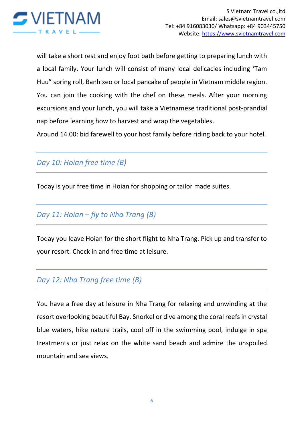

will take a short rest and enjoy foot bath before getting to preparing lunch with a local family. Your lunch will consist of many local delicacies including 'Tam Huu" spring roll, Banh xeo or local pancake of people in Vietnam middle region. You can join the cooking with the chef on these meals. After your morning excursions and your lunch, you will take a Vietnamese traditional post-prandial nap before learning how to harvest and wrap the vegetables.

Around 14.00: bid farewell to your host family before riding back to your hotel.

# *Day 10: Hoian free time (B)*

Today is your free time in Hoian for shopping or tailor made suites.

# *Day 11: Hoian – fly to Nha Trang (B)*

Today you leave Hoian for the short flight to Nha Trang. Pick up and transfer to your resort. Check in and free time at leisure.

## *Day 12: Nha Trang free time (B)*

You have a free day at leisure in Nha Trang for relaxing and unwinding at the resort overlooking beautiful Bay. Snorkel or dive among the coral reefs in crystal blue waters, hike nature trails, cool off in the swimming pool, indulge in spa treatments or just relax on the white sand beach and admire the unspoiled mountain and sea views.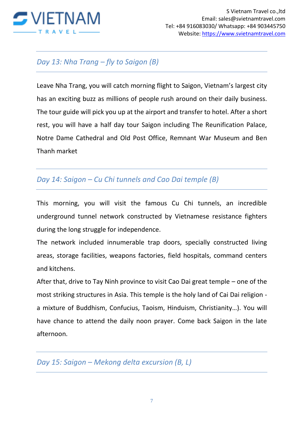

# *Day 13: Nha Trang – fly to Saigon (B)*

Leave Nha Trang, you will catch morning flight to Saigon, Vietnam's largest city has an exciting buzz as millions of people rush around on their daily business. The tour guide will pick you up at the airport and transfer to hotel. After a short rest, you will have a half day tour Saigon including The Reunification Palace, Notre Dame Cathedral and Old Post Office, Remnant War Museum and Ben Thanh market

## *Day 14: Saigon – Cu Chi tunnels and Cao Dai temple (B)*

This morning, you will visit the famous Cu Chi tunnels, an incredible underground tunnel network constructed by Vietnamese resistance fighters during the long struggle for independence.

The network included innumerable trap doors, specially constructed living areas, storage facilities, weapons factories, field hospitals, command centers and kitchens.

After that, drive to Tay Ninh province to visit Cao Dai great temple – one of the most striking structures in Asia. This temple is the holy land of Cai Dai religion a mixture of Buddhism, Confucius, Taoism, Hinduism, Christianity…). You will have chance to attend the daily noon prayer. Come back Saigon in the late afternoon.

*Day 15: Saigon – Mekong delta excursion (B, L)*